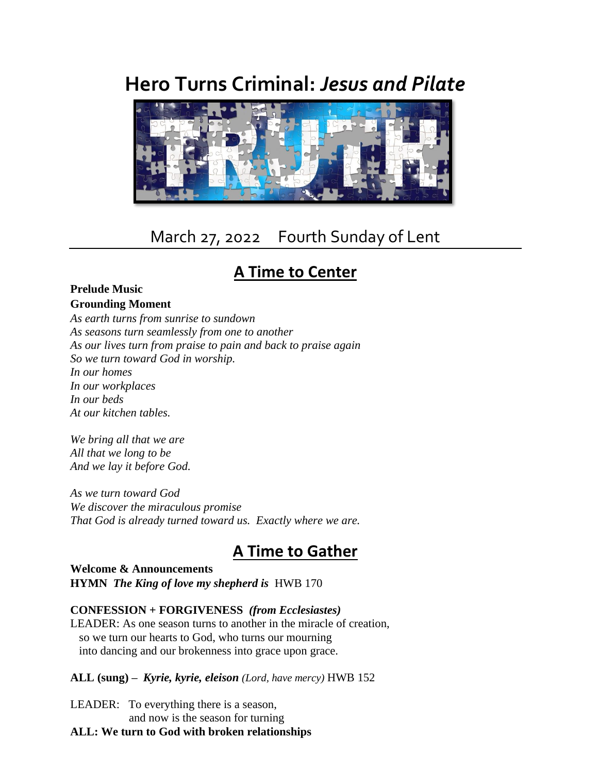# **Hero Turns Criminal:** *Jesus and Pilate*



## March 27, 2022 Fourth Sunday of Lent

### **A Time to Center**

#### **Prelude Music Grounding Moment**

*As earth turns from sunrise to sundown As seasons turn seamlessly from one to another As our lives turn from praise to pain and back to praise again So we turn toward God in worship. In our homes In our workplaces In our beds At our kitchen tables.*

*We bring all that we are All that we long to be And we lay it before God.*

*As we turn toward God We discover the miraculous promise That God is already turned toward us. Exactly where we are.*

### **A Time to Gather**

#### **Welcome & Announcements HYMN** *The King of love my shepherd is*HWB 170

#### **CONFESSION + FORGIVENESS** *(from Ecclesiastes)*

LEADER: As one season turns to another in the miracle of creation, so we turn our hearts to God, who turns our mourning into dancing and our brokenness into grace upon grace.

#### **ALL (sung)** *– Kyrie, kyrie, eleison (Lord, have mercy)* HWB 152

LEADER: To everything there is a season, and now is the season for turning

#### **ALL: We turn to God with broken relationships**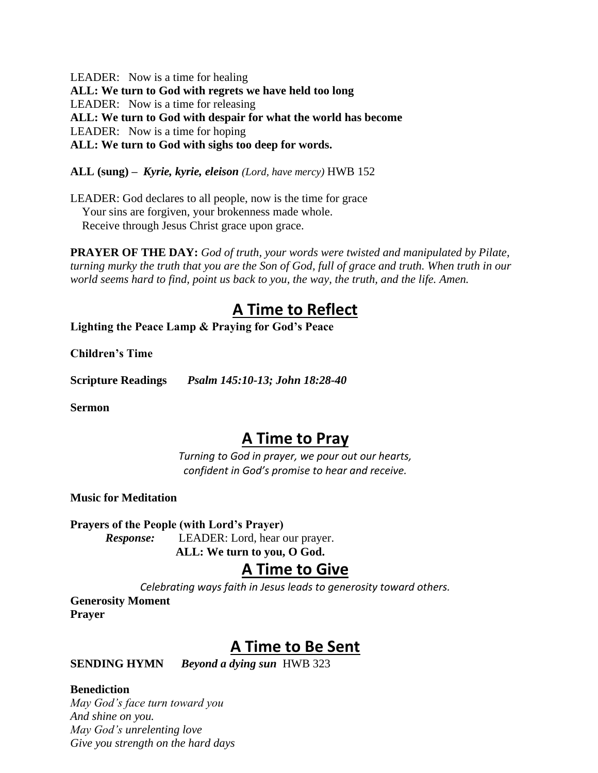LEADER: Now is a time for healing **ALL: We turn to God with regrets we have held too long** LEADER: Now is a time for releasing **ALL: We turn to God with despair for what the world has become** LEADER: Now is a time for hoping **ALL: We turn to God with sighs too deep for words.**

**ALL (sung)** *– Kyrie, kyrie, eleison (Lord, have mercy)* HWB 152

LEADER: God declares to all people, now is the time for grace Your sins are forgiven, your brokenness made whole. Receive through Jesus Christ grace upon grace.

**PRAYER OF THE DAY:** *God of truth, your words were twisted and manipulated by Pilate, turning murky the truth that you are the Son of God, full of grace and truth. When truth in our world seems hard to find, point us back to you, the way, the truth, and the life. Amen.*

### **A Time to Reflect**

**Lighting the Peace Lamp & Praying for God's Peace**

**Children's Time**

**Scripture Readings** *Psalm 145:10-13; John 18:28-40*

**Sermon**

### **A Time to Pray**

*Turning to God in prayer, we pour out our hearts, confident in God's promise to hear and receive.*

**Music for Meditation**

**Prayers of the People (with Lord's Prayer)**

*Response:* LEADER: Lord, hear our prayer. **ALL: We turn to you, O God.**

### **A Time to Give**

*Celebrating ways faith in Jesus leads to generosity toward others.*

**Generosity Moment Prayer**

### **A Time to Be Sent**

**SENDING HYMN** *Beyond a dying sun*HWB 323

#### **Benediction**

*May God's face turn toward you And shine on you. May God's unrelenting love Give you strength on the hard days*